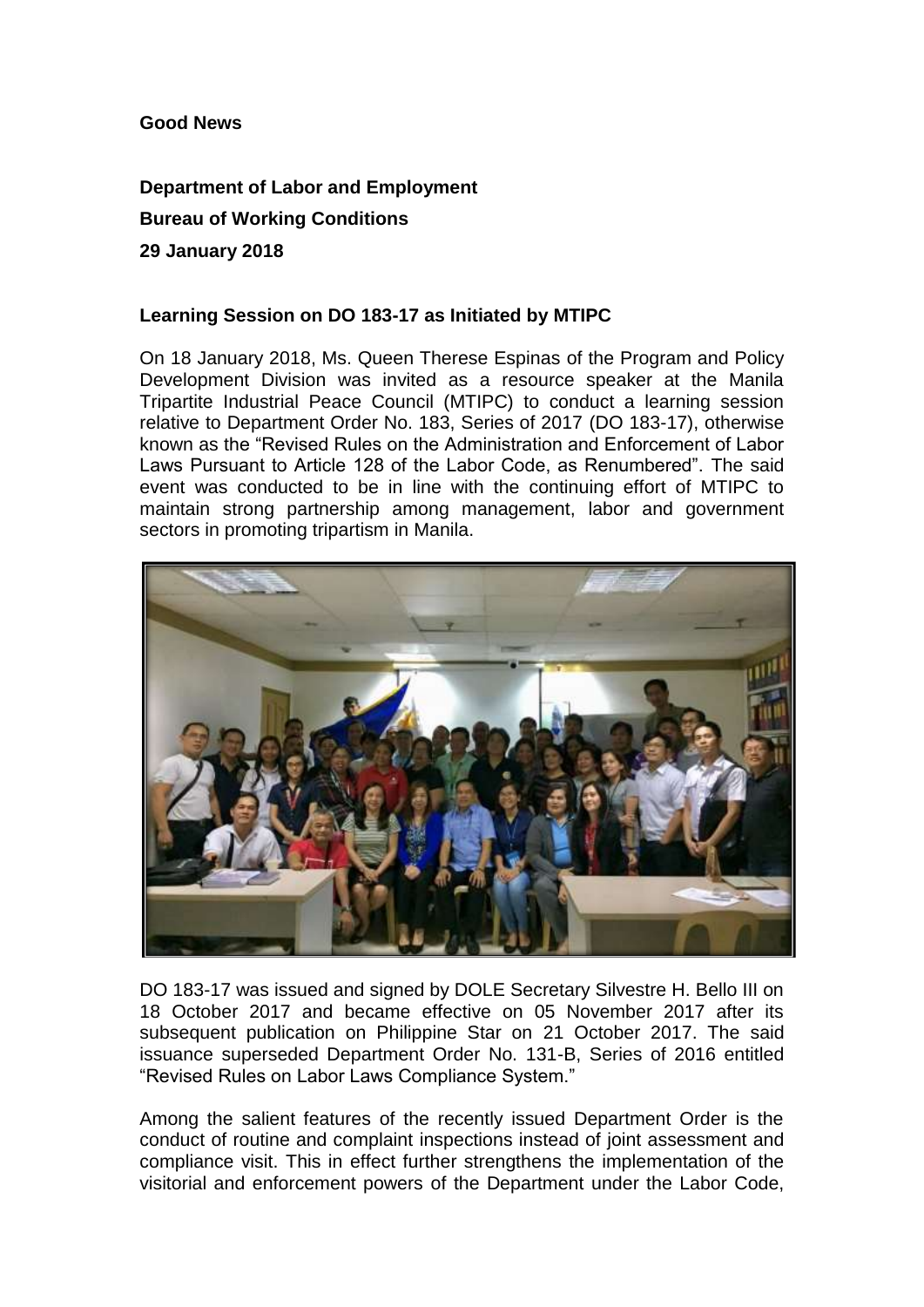## **Good News**

## **Department of Labor and Employment Bureau of Working Conditions 29 January 2018**

## **Learning Session on DO 183-17 as Initiated by MTIPC**

On 18 January 2018, Ms. Queen Therese Espinas of the Program and Policy Development Division was invited as a resource speaker at the Manila Tripartite Industrial Peace Council (MTIPC) to conduct a learning session relative to Department Order No. 183, Series of 2017 (DO 183-17), otherwise known as the "Revised Rules on the Administration and Enforcement of Labor Laws Pursuant to Article 128 of the Labor Code, as Renumbered". The said event was conducted to be in line with the continuing effort of MTIPC to maintain strong partnership among management, labor and government sectors in promoting tripartism in Manila.



DO 183-17 was issued and signed by DOLE Secretary Silvestre H. Bello III on 18 October 2017 and became effective on 05 November 2017 after its subsequent publication on Philippine Star on 21 October 2017. The said issuance superseded Department Order No. 131-B, Series of 2016 entitled "Revised Rules on Labor Laws Compliance System."

Among the salient features of the recently issued Department Order is the conduct of routine and complaint inspections instead of joint assessment and compliance visit. This in effect further strengthens the implementation of the visitorial and enforcement powers of the Department under the Labor Code,